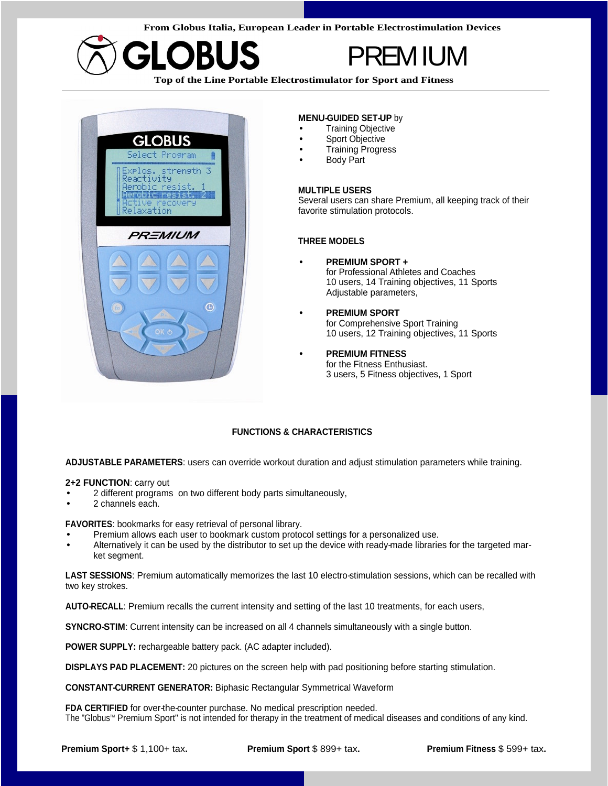**From Globus Italia, European Leader in Portable Electrostimulation Devices**



## PREMIUM

**Top of the Line Portable Electrostimulator for Sport and Fitness**



#### **MENU-GUIDED SET-UP** by

- Training Objective **Figure 1** and the contract of the contract of the contract of the contract of the contract of the contract of the contract of the contract of the contract of the contract of the contract of the contra
- Sport Objective **blue and the set of the set of the set of the set of the set of the set of the set of the set of the set of the set of the set of the set of the set of the set of the set of the set of the set of the set**
- Training Progress **Frankling** Controller and Training Progress **Frankling** Controller and Training Controller and Training Controller and Training Controller and Training Controller and Training Controller and Training C
- Body Part

#### **MULTIPLE USERS**

Several users can share Premium, all keeping track of their favorite stimulation protocols.

#### **THREE MODELS**

- **PREMIUM SPORT +** for Professional Athletes and Coaches 10 users, 14 Training objectives, 11 Sports Adjustable parameters,
- **PREMIUM SPORT**  for Comprehensive Sport Training 10 users, 12 Training objectives, 11 Sports
- **PREMIUM FITNESS** for the Fitness Enthusiast. 3 users, 5 Fitness objectives, 1 Sport

### **FUNCTIONS & CHARACTERISTICS**

**ADJUSTABLE PARAMETERS**: users can override workout duration and adjust stimulation parameters while training.

#### **2+2 FUNCTION**: carry out

- 2 different programs on two different body parts simultaneously, 2 channels each.
- 2 channels each.

**FAVORITES**: bookmarks for easy retrieval of personal library.

- Premium allows each user to bookmark custom protocol settings for a personalized use.
- Alternatively it can be used by the distributor to set up the device with ready-made libraries for the targeted mar-<br>ket segment. ket segment.

**LAST SESSIONS**: Premium automatically memorizes the last 10 electro-stimulation sessions, which can be recalled with two key strokes.

**AUTO-RECALL**: Premium recalls the current intensity and setting of the last 10 treatments, for each users,

**SYNCRO-STIM:** Current intensity can be increased on all 4 channels simultaneously with a single button.

**POWER SUPPLY:** rechargeable battery pack. (AC adapter included).

**DISPLAYS PAD PLACEMENT:** 20 pictures on the screen help with pad positioning before starting stimulation.

**CONSTANT-CURRENT GENERATOR:** Biphasic Rectangular Symmetrical Waveform

**FDA CERTIFIED** for over-the-counter purchase. No medical prescription needed. The "Globus™ Premium Sport" is not intended for therapy in the treatment of medical diseases and conditions of any kind.